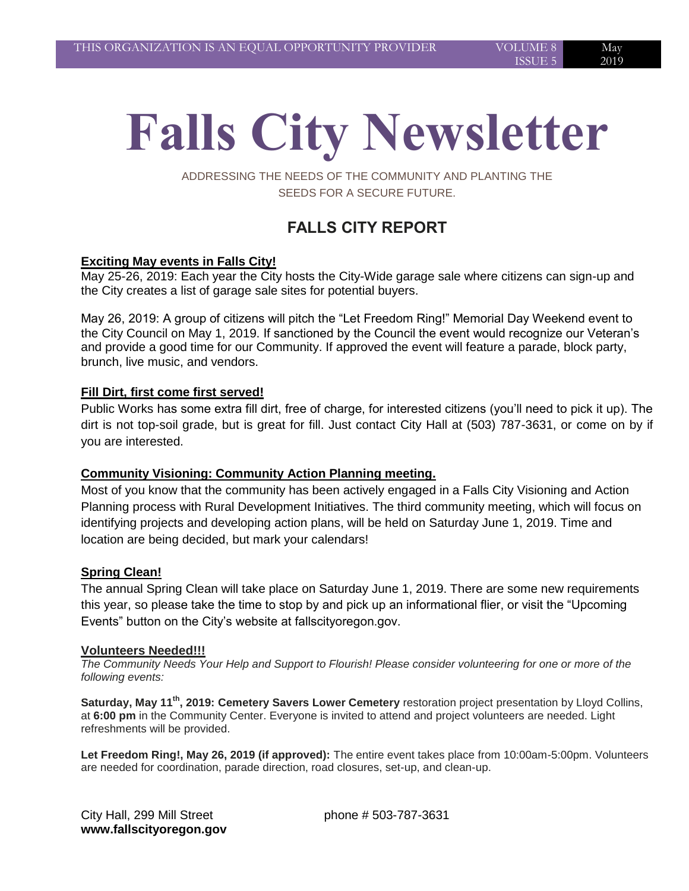# **Falls City Newsletter**

ADDRESSING THE NEEDS OF THE COMMUNITY AND PLANTING THE SEEDS FOR A SECURE FUTURE.

# **FALLS CITY REPORT**

## **Exciting May events in Falls City!**

May 25-26, 2019: Each year the City hosts the City-Wide garage sale where citizens can sign-up and the City creates a list of garage sale sites for potential buyers.

May 26, 2019: A group of citizens will pitch the "Let Freedom Ring!" Memorial Day Weekend event to the City Council on May 1, 2019. If sanctioned by the Council the event would recognize our Veteran's and provide a good time for our Community. If approved the event will feature a parade, block party, brunch, live music, and vendors.

## **Fill Dirt, first come first served!**

Public Works has some extra fill dirt, free of charge, for interested citizens (you'll need to pick it up). The dirt is not top-soil grade, but is great for fill. Just contact City Hall at (503) 787-3631, or come on by if you are interested.

## **Community Visioning: Community Action Planning meeting.**

Most of you know that the community has been actively engaged in a Falls City Visioning and Action Planning process with Rural Development Initiatives. The third community meeting, which will focus on identifying projects and developing action plans, will be held on Saturday June 1, 2019. Time and location are being decided, but mark your calendars!

## **Spring Clean!**

The annual Spring Clean will take place on Saturday June 1, 2019. There are some new requirements this year, so please take the time to stop by and pick up an informational flier, or visit the "Upcoming Events" button on the City's website at fallscityoregon.gov.

#### **Volunteers Needed!!!**

*The Community Needs Your Help and Support to Flourish! Please consider volunteering for one or more of the following events:* 

**Saturday, May 11th, 2019: Cemetery Savers Lower Cemetery** restoration project presentation by Lloyd Collins, at **6:00 pm** in the Community Center. Everyone is invited to attend and project volunteers are needed. Light refreshments will be provided.

**Let Freedom Ring!, May 26, 2019 (if approved):** The entire event takes place from 10:00am-5:00pm. Volunteers are needed for coordination, parade direction, road closures, set-up, and clean-up.